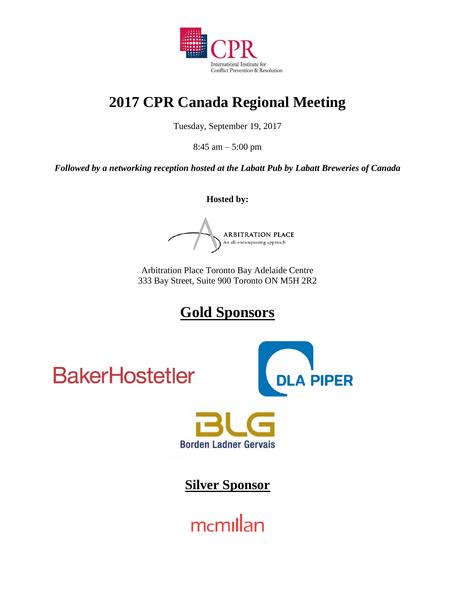

# **2017 CPR Canada Regional Meeting**

Tuesday, September 19, 2017

8:45 am – 5:00 pm

*Followed by a networking reception hosted at the Labatt Pub by Labatt Breweries of Canada*

**Hosted by:**

ARBITRATION PLACE An all-encompassing approach

Arbitration Place Toronto Bay Adelaide Centre 333 Bay Street, Suite 900 Toronto ON M5H 2R2

# **Gold Sponsors**

**BakerHostetler** 





**Silver Sponsor**

mcmillan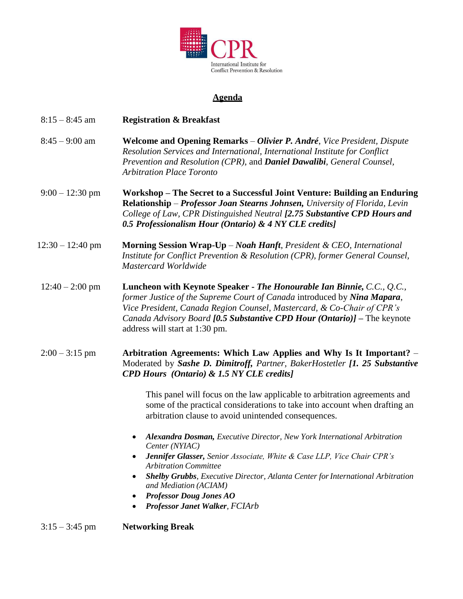

### **Agenda**

| $8:15 - 8:45$ am   | <b>Registration &amp; Breakfast</b>                                                                                                                                                                                                                                                                                                                                                                     |
|--------------------|---------------------------------------------------------------------------------------------------------------------------------------------------------------------------------------------------------------------------------------------------------------------------------------------------------------------------------------------------------------------------------------------------------|
| $8:45 - 9:00$ am   | Welcome and Opening Remarks – Olivier P. André, Vice President, Dispute<br>Resolution Services and International, International Institute for Conflict<br>Prevention and Resolution (CPR), and <b>Daniel Dawalibi</b> , General Counsel,<br><b>Arbitration Place Toronto</b>                                                                                                                            |
| $9:00 - 12:30$ pm  | Workshop – The Secret to a Successful Joint Venture: Building an Enduring<br>Relationship - Professor Joan Stearns Johnsen, University of Florida, Levin<br>College of Law, CPR Distinguished Neutral [2.75 Substantive CPD Hours and<br>0.5 Professionalism Hour (Ontario) & 4 NY CLE credits]                                                                                                         |
| $12:30 - 12:40$ pm | Morning Session Wrap-Up - Noah Hanft, President & CEO, International<br>Institute for Conflict Prevention & Resolution (CPR), former General Counsel,<br>Mastercard Worldwide                                                                                                                                                                                                                           |
| $12:40 - 2:00$ pm  | Luncheon with Keynote Speaker - The Honourable Ian Binnie, C.C., Q.C.,<br>former Justice of the Supreme Court of Canada introduced by Nina Mapara,<br>Vice President, Canada Region Counsel, Mastercard, & Co-Chair of CPR's<br>Canada Advisory Board [0.5 Substantive CPD Hour (Ontario)] – The keynote<br>address will start at 1:30 pm.                                                              |
| $2:00 - 3:15$ pm   | Arbitration Agreements: Which Law Applies and Why Is It Important? -<br>Moderated by Sashe D. Dimitroff, Partner, BakerHostetler [1. 25 Substantive<br><b>CPD Hours</b> (Ontario) & 1.5 NY CLE credits]                                                                                                                                                                                                 |
|                    | This panel will focus on the law applicable to arbitration agreements and<br>some of the practical considerations to take into account when drafting an<br>arbitration clause to avoid unintended consequences.                                                                                                                                                                                         |
|                    | Alexandra Dosman, Executive Director, New York International Arbitration<br>Center (NYIAC)<br><b>Jennifer Glasser, Senior Associate, White &amp; Case LLP, Vice Chair CPR's</b><br><b>Arbitration Committee</b><br><b>Shelby Grubbs</b> , Executive Director, Atlanta Center for International Arbitration<br>and Mediation (ACIAM)<br><b>Professor Doug Jones AO</b><br>Professor Janet Walker, FCIArb |
| $3:15 - 3:45$ pm   | <b>Networking Break</b>                                                                                                                                                                                                                                                                                                                                                                                 |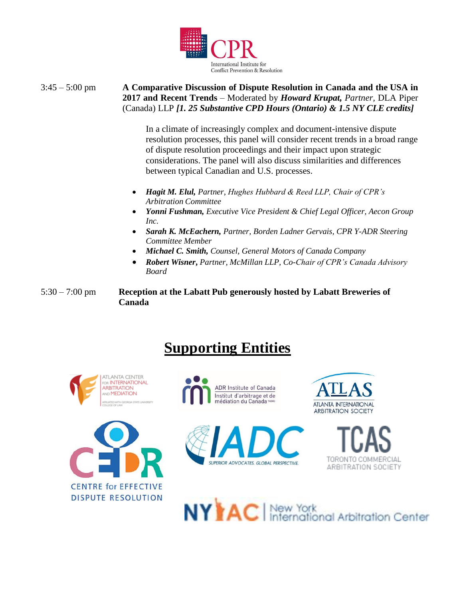

3:45 – 5:00 pm **A Comparative Discussion of Dispute Resolution in Canada and the USA in 2017 and Recent Trends** – Moderated by *Howard Krupat, Partner,* DLA Piper (Canada) LLP *[1. 25 Substantive CPD Hours (Ontario) & 1.5 NY CLE credits]*

> In a climate of increasingly complex and document-intensive dispute resolution processes, this panel will consider recent trends in a broad range of dispute resolution proceedings and their impact upon strategic considerations. The panel will also discuss similarities and differences between typical Canadian and U.S. processes.

- *Hagit M. Elul, Partner*, *Hughes Hubbard & Reed LLP, Chair of CPR's Arbitration Committee*
- *Yonni Fushman, Executive Vice President & Chief Legal Officer, Aecon Group Inc.*
- *Sarah K. McEachern, Partner, Borden Ladner Gervais, CPR Y-ADR Steering Committee Member*
- *Michael C. Smith, Counsel, General Motors of Canada Company*
- *Robert Wisner***,** *Partner, McMillan LLP, Co-Chair of CPR's Canada Advisory Board*

5:30 – 7:00 pm **Reception at the Labatt Pub generously hosted by Labatt Breweries of Canada**

# **Supporting Entities**